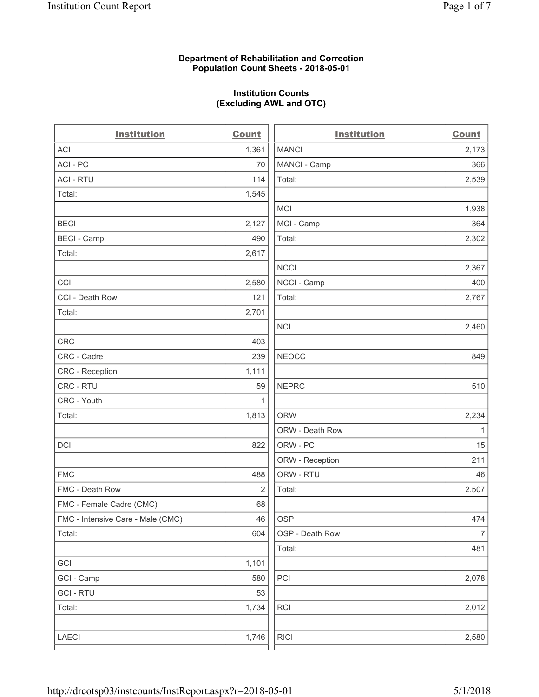# **Department of Rehabilitation and Correction Population Count Sheets - 2018-05-01**

# **Institution Counts (Excluding AWL and OTC)**

. .

| <b>Institution</b>                | <b>Count</b>   | <b>Institution</b> | <b>Count</b>   |
|-----------------------------------|----------------|--------------------|----------------|
| <b>ACI</b>                        | 1,361          | <b>MANCI</b>       | 2,173          |
| ACI - PC                          | 70             | MANCI - Camp       | 366            |
| <b>ACI - RTU</b>                  | 114            | Total:             | 2,539          |
| Total:                            | 1,545          |                    |                |
|                                   |                | <b>MCI</b>         | 1,938          |
| <b>BECI</b>                       | 2,127          | MCI - Camp         | 364            |
| <b>BECI</b> - Camp                | 490            | Total:             | 2,302          |
| Total:                            | 2,617          |                    |                |
|                                   |                | <b>NCCI</b>        | 2,367          |
| CCI                               | 2,580          | NCCI - Camp        | 400            |
| CCI - Death Row                   | 121            | Total:             | 2,767          |
| Total:                            | 2,701          |                    |                |
|                                   |                | <b>NCI</b>         | 2,460          |
| <b>CRC</b>                        | 403            |                    |                |
| CRC - Cadre                       | 239            | <b>NEOCC</b>       | 849            |
| CRC - Reception                   | 1,111          |                    |                |
| CRC - RTU                         | 59             | <b>NEPRC</b>       | 510            |
| CRC - Youth                       | 1              |                    |                |
| Total:                            | 1,813          | <b>ORW</b>         | 2,234          |
|                                   |                | ORW - Death Row    | 1              |
| DCI                               | 822            | ORW - PC           | 15             |
|                                   |                | ORW - Reception    | 211            |
| <b>FMC</b>                        | 488            | ORW - RTU          | 46             |
| FMC - Death Row                   | $\overline{2}$ | Total:             | 2,507          |
| FMC - Female Cadre (CMC)          | 68             |                    |                |
| FMC - Intensive Care - Male (CMC) | 46             | OSP                | 474            |
| Total:                            | 604            | OSP - Death Row    | $\overline{7}$ |
|                                   |                | Total:             | 481            |
| GCI                               | 1,101          |                    |                |
| GCI - Camp                        | 580            | PCI                | 2,078          |
| <b>GCI-RTU</b>                    | 53             |                    |                |
| Total:                            | 1,734          | RCI                | 2,012          |
|                                   |                |                    |                |
| LAECI                             | 1,746          | <b>RICI</b>        | 2,580          |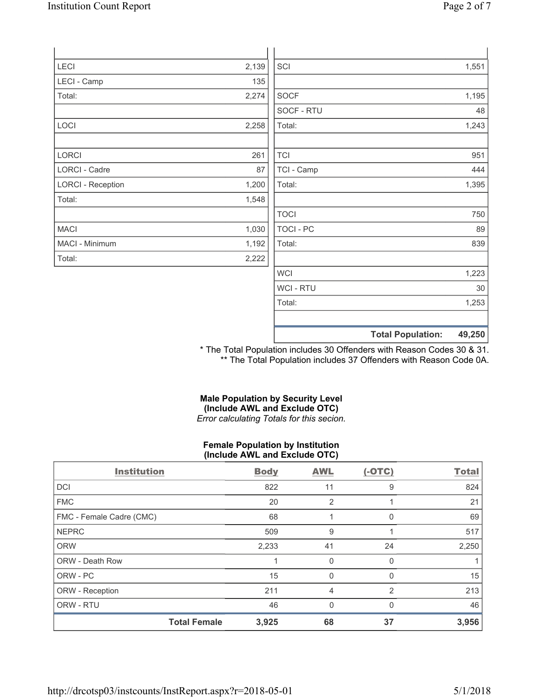| Page 2 of 7 |  |
|-------------|--|
|             |  |

| LECI                     | 2,139 | SCI         | 1,551                              |
|--------------------------|-------|-------------|------------------------------------|
| LECI - Camp              | 135   |             |                                    |
| Total:                   | 2,274 | <b>SOCF</b> | 1,195                              |
|                          |       | SOCF - RTU  | 48                                 |
| LOCI                     | 2,258 | Total:      | 1,243                              |
|                          |       |             |                                    |
| LORCI                    | 261   | <b>TCI</b>  | 951                                |
| LORCI - Cadre            | 87    | TCI - Camp  | 444                                |
| <b>LORCI - Reception</b> | 1,200 | Total:      | 1,395                              |
| Total:                   | 1,548 |             |                                    |
|                          |       | <b>TOCI</b> | 750                                |
| <b>MACI</b>              | 1,030 | TOCI - PC   | 89                                 |
| MACI - Minimum           | 1,192 | Total:      | 839                                |
| Total:                   | 2,222 |             |                                    |
|                          |       | <b>WCI</b>  | 1,223                              |
|                          |       | WCI - RTU   | 30                                 |
|                          |       | Total:      | 1,253                              |
|                          |       |             | 49,250<br><b>Total Population:</b> |

\* The Total Population includes 30 Offenders with Reason Codes 30 & 31. \*\* The Total Population includes 37 Offenders with Reason Code 0A.

## **Male Population by Security Level (Include AWL and Exclude OTC)**  *Error calculating Totals for this secion.*

# **Female Population by Institution (Include AWL and Exclude OTC)**

| <b>Institution</b>       |                     | <b>Body</b> | <b>AWL</b>     | $(-OTC)$     | <b>Total</b> |
|--------------------------|---------------------|-------------|----------------|--------------|--------------|
| <b>DCI</b>               |                     | 822         | 11             | 9            | 824          |
| <b>FMC</b>               |                     | 20          | $\overline{2}$ |              | 21           |
| FMC - Female Cadre (CMC) |                     | 68          |                | 0            | 69           |
| <b>NEPRC</b>             |                     | 509         | 9              |              | 517          |
| <b>ORW</b>               |                     | 2,233       | 41             | 24           | 2,250        |
| <b>ORW - Death Row</b>   |                     |             | 0              | $\Omega$     |              |
| ORW - PC                 |                     | 15          | 0              | <sup>0</sup> | 15           |
| ORW - Reception          |                     | 211         | 4              | 2            | 213          |
| ORW - RTU                |                     | 46          | $\mathbf{0}$   | $\Omega$     | 46           |
|                          | <b>Total Female</b> | 3,925       | 68             | 37           | 3,956        |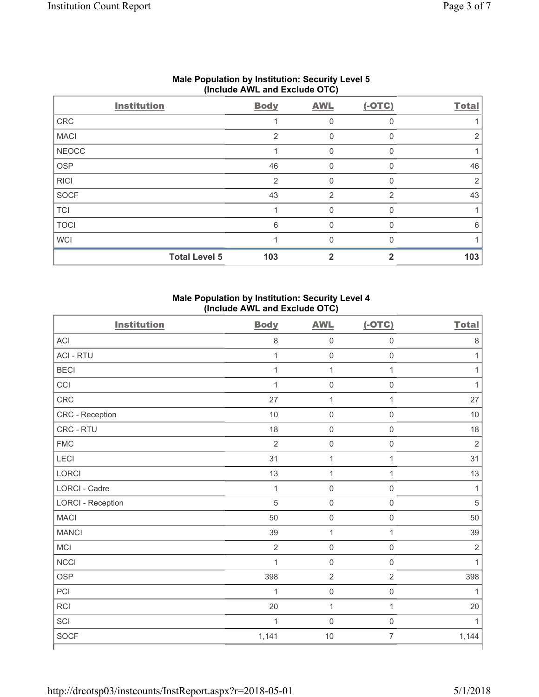|              | (1101440)            |                |             |              |              |  |  |
|--------------|----------------------|----------------|-------------|--------------|--------------|--|--|
|              | <b>Institution</b>   | <b>Body</b>    | <b>AWL</b>  | $(-OTC)$     | <b>Total</b> |  |  |
| CRC          |                      |                | 0           | $\Omega$     |              |  |  |
| <b>MACI</b>  |                      | $\overline{2}$ | 0           |              | 2            |  |  |
| <b>NEOCC</b> |                      |                | 0           | $\Omega$     |              |  |  |
| OSP          |                      | 46             | $\mathbf 0$ | 0            | 46           |  |  |
| <b>RICI</b>  |                      | 2              | $\Omega$    | <sup>0</sup> | 2            |  |  |
| SOCF         |                      | 43             | 2           | 2            | 43           |  |  |
| <b>TCI</b>   |                      |                | 0           |              |              |  |  |
| <b>TOCI</b>  |                      | 6              | 0           |              | 6            |  |  |
| <b>WCI</b>   |                      |                | O           |              |              |  |  |
|              | <b>Total Level 5</b> | 103            |             |              | 103          |  |  |

# **Male Population by Institution: Security Level 5 (Include AWL and Exclude OTC)**

# **Male Population by Institution: Security Level 4 (Include AWL and Exclude OTC)**

| <b>Institution</b>       | <b>Body</b>    | <b>AWL</b>          | $(-OTC)$            | <b>Total</b>   |
|--------------------------|----------------|---------------------|---------------------|----------------|
| <b>ACI</b>               | 8              | $\mathsf{O}\xspace$ | $\mathsf{O}\xspace$ | $\,8\,$        |
| <b>ACI - RTU</b>         | $\mathbf{1}$   | $\mathsf{O}\xspace$ | $\mathsf{O}\xspace$ | 1              |
| <b>BECI</b>              | $\mathbf{1}$   | $\mathbf 1$         | $\mathbf{1}$        | 1              |
| CCI                      | $\mathbf{1}$   | $\mathsf{O}\xspace$ | $\mathsf{O}\xspace$ | $\mathbf{1}$   |
| CRC                      | 27             | 1                   | $\mathbf{1}$        | 27             |
| CRC - Reception          | 10             | $\mathsf 0$         | $\mathsf{O}\xspace$ | 10             |
| CRC - RTU                | 18             | $\mathsf{O}\xspace$ | $\mathsf{O}\xspace$ | 18             |
| <b>FMC</b>               | $\overline{2}$ | $\mathsf{O}\xspace$ | $\mathsf{O}\xspace$ | $\overline{2}$ |
| LECI                     | 31             | $\mathbf 1$         | $\mathbf{1}$        | 31             |
| LORCI                    | 13             | $\mathbf 1$         | $\mathbf{1}$        | 13             |
| LORCI - Cadre            | $\mathbf{1}$   | $\mathsf 0$         | $\mathsf{O}\xspace$ | 1              |
| <b>LORCI - Reception</b> | 5              | $\mathsf{O}\xspace$ | $\mathsf{O}\xspace$ | $\sqrt{5}$     |
| <b>MACI</b>              | 50             | $\mathsf 0$         | $\boldsymbol{0}$    | 50             |
| <b>MANCI</b>             | 39             | $\mathbf{1}$        | $\mathbf{1}$        | 39             |
| MCI                      | $\overline{2}$ | $\mathsf{O}\xspace$ | $\mathsf{O}\xspace$ | $\overline{2}$ |
| NCCI                     | $\mathbf{1}$   | $\mathsf{O}\xspace$ | $\mathsf{O}\xspace$ | 1              |
| OSP                      | 398            | $\overline{2}$      | $\overline{2}$      | 398            |
| PCI                      | $\mathbf{1}$   | $\mathsf 0$         | $\mathsf 0$         | 1              |
| <b>RCI</b>               | 20             | $\mathbf{1}$        | $\mathbf{1}$        | 20             |
| SCI                      | $\mathbf{1}$   | $\mathsf{O}\xspace$ | $\mathsf{O}\xspace$ | 1              |
| SOCF                     | 1,141          | 10                  | $\overline{7}$      | 1,144          |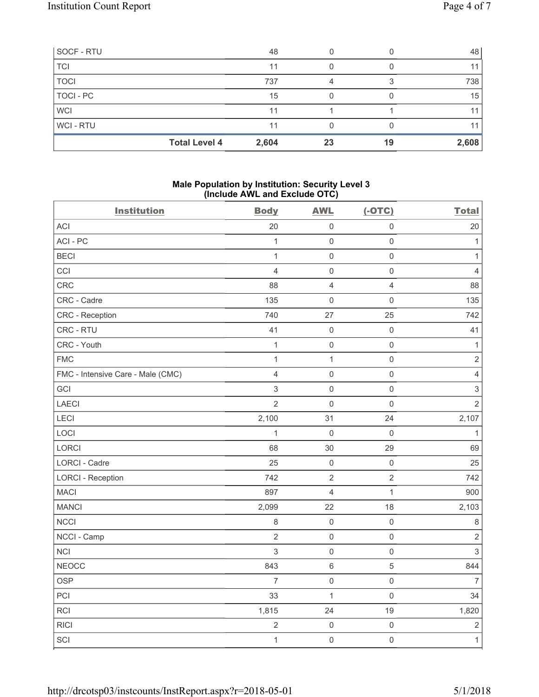| SOCF - RTU  |                      | 48    |    |    | 48    |
|-------------|----------------------|-------|----|----|-------|
| <b>TCI</b>  |                      | 11    |    |    | 11    |
| <b>TOCI</b> |                      | 737   | 4  |    | 738   |
| TOCI - PC   |                      | 15    |    |    | 15    |
| <b>WCI</b>  |                      | 11    |    |    | 11    |
| WCI-RTU     |                      | 11    |    |    | 11    |
|             | <b>Total Level 4</b> | 2,604 | 23 | 19 | 2,608 |

# **Male Population by Institution: Security Level 3 (Include AWL and Exclude OTC)**

| <b>Institution</b>                | <b>Body</b>    | <b>AWL</b>          | $(-OTC)$                | <b>Total</b>   |
|-----------------------------------|----------------|---------------------|-------------------------|----------------|
| ACI                               | 20             | $\mathsf{O}\xspace$ | $\mathsf{O}\xspace$     | 20             |
| ACI - PC                          | 1              | $\mathbf 0$         | $\mathsf{O}\xspace$     | $\mathbf{1}$   |
| <b>BECI</b>                       | $\mathbf{1}$   | $\mathsf{O}\xspace$ | $\mathsf{O}\xspace$     | $\mathbf{1}$   |
| CCI                               | 4              | $\mathbf 0$         | $\mathsf{O}\xspace$     | $\overline{4}$ |
| CRC                               | 88             | $\overline{4}$      | $\overline{\mathbf{4}}$ | 88             |
| CRC - Cadre                       | 135            | $\mathbf 0$         | 0                       | 135            |
| <b>CRC</b> - Reception            | 740            | 27                  | 25                      | 742            |
| CRC - RTU                         | 41             | $\mathbf 0$         | $\mathsf{O}\xspace$     | 41             |
| CRC - Youth                       | $\mathbf{1}$   | $\mathsf{O}\xspace$ | $\mathsf{O}\xspace$     | $\mathbf{1}$   |
| <b>FMC</b>                        | $\mathbf{1}$   | $\mathbf{1}$        | $\mathsf{O}\xspace$     | $\overline{2}$ |
| FMC - Intensive Care - Male (CMC) | $\overline{4}$ | $\mathbf 0$         | $\mathsf{O}\xspace$     | $\overline{4}$ |
| GCI                               | 3              | $\mathbf 0$         | $\mathsf 0$             | $\sqrt{3}$     |
| <b>LAECI</b>                      | $\overline{2}$ | $\mathbf 0$         | $\mathsf 0$             | $\overline{2}$ |
| LECI                              | 2,100          | 31                  | 24                      | 2,107          |
| LOCI                              | 1              | $\mathbf 0$         | $\mathsf{O}\xspace$     | 1              |
| <b>LORCI</b>                      | 68             | 30                  | 29                      | 69             |
| LORCI - Cadre                     | 25             | $\mathbf 0$         | $\mathsf 0$             | 25             |
| <b>LORCI - Reception</b>          | 742            | $\overline{2}$      | $\overline{2}$          | 742            |
| <b>MACI</b>                       | 897            | $\overline{4}$      | $\mathbf{1}$            | 900            |
| <b>MANCI</b>                      | 2,099          | 22                  | 18                      | 2,103          |
| <b>NCCI</b>                       | $\,8\,$        | $\mathsf 0$         | $\mathsf{O}\xspace$     | $\,8\,$        |
| NCCI - Camp                       | $\overline{2}$ | $\mathsf{O}\xspace$ | $\mathsf{O}\xspace$     | $\sqrt{2}$     |
| <b>NCI</b>                        | 3              | $\mathsf{O}\xspace$ | $\mathsf{O}\xspace$     | $\mathfrak{S}$ |
| <b>NEOCC</b>                      | 843            | $\,6\,$             | 5                       | 844            |
| <b>OSP</b>                        | $\overline{7}$ | $\mathsf{O}\xspace$ | $\mathsf{O}\xspace$     | $\overline{7}$ |
| PCI                               | 33             | $\mathbf 1$         | $\mathsf{O}\xspace$     | 34             |
| RCI                               | 1,815          | 24                  | 19                      | 1,820          |
| <b>RICI</b>                       | $\overline{2}$ | $\mathsf{O}\xspace$ | $\mathsf{O}\xspace$     | $\sqrt{2}$     |
| SCI                               | $\mathbf{1}$   | $\mathsf{O}\xspace$ | $\mathsf{O}\xspace$     | $\mathbf{1}$   |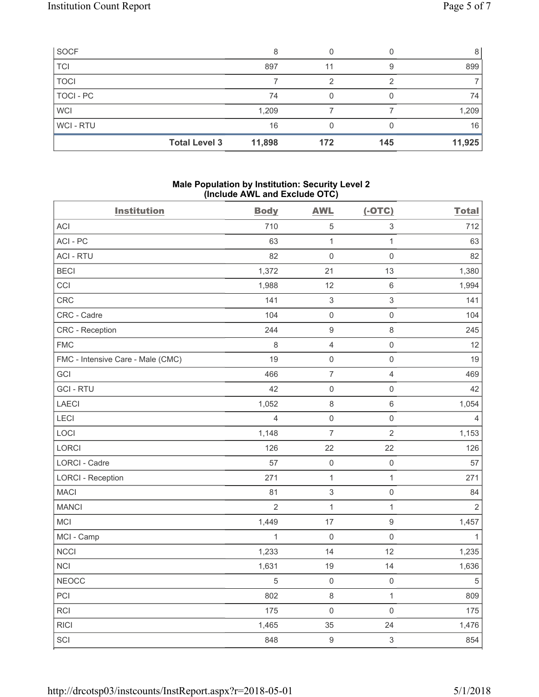| SOCF        |                      | 8      |     |     | 8      |
|-------------|----------------------|--------|-----|-----|--------|
| <b>TCI</b>  |                      | 897    | 11  |     | 899    |
| <b>TOCI</b> |                      |        | っ   |     |        |
| TOCI - PC   |                      | 74     |     |     | 74     |
| <b>WCI</b>  |                      | 1,209  |     |     | 1,209  |
| WCI-RTU     |                      | 16     |     |     | 16     |
|             | <b>Total Level 3</b> | 11,898 | 172 | 145 | 11,925 |

# **Male Population by Institution: Security Level 2 (Include AWL and Exclude OTC)**

| <b>Institution</b>                | <b>Body</b>    | <b>AWL</b>                | $(-OTC)$            | <b>Total</b>   |
|-----------------------------------|----------------|---------------------------|---------------------|----------------|
| <b>ACI</b>                        | 710            | $\,$ 5 $\,$               | $\sqrt{3}$          | 712            |
| ACI - PC                          | 63             | $\mathbf{1}$              | $\mathbf{1}$        | 63             |
| <b>ACI - RTU</b>                  | 82             | $\mathsf{O}\xspace$       | $\mathsf{O}\xspace$ | 82             |
| <b>BECI</b>                       | 1,372          | 21                        | 13                  | 1,380          |
| CCI                               | 1,988          | 12                        | $\,6\,$             | 1,994          |
| CRC                               | 141            | $\ensuremath{\mathsf{3}}$ | 3                   | 141            |
| CRC - Cadre                       | 104            | $\mathsf{O}\xspace$       | $\mathsf{O}\xspace$ | 104            |
| CRC - Reception                   | 244            | $\boldsymbol{9}$          | 8                   | 245            |
| <b>FMC</b>                        | 8              | $\overline{4}$            | $\mathsf{O}\xspace$ | 12             |
| FMC - Intensive Care - Male (CMC) | 19             | $\mathsf 0$               | $\mathsf{O}\xspace$ | 19             |
| GCI                               | 466            | $\overline{7}$            | $\overline{4}$      | 469            |
| <b>GCI-RTU</b>                    | 42             | $\mathsf{O}\xspace$       | $\mathsf{O}\xspace$ | 42             |
| <b>LAECI</b>                      | 1,052          | $\,8\,$                   | $\,6\,$             | 1,054          |
| LECI                              | $\overline{4}$ | $\mathsf{O}\xspace$       | $\mathsf{O}\xspace$ | $\overline{4}$ |
| LOCI                              | 1,148          | $\overline{7}$            | $\overline{2}$      | 1,153          |
| LORCI                             | 126            | 22                        | 22                  | 126            |
| LORCI - Cadre                     | 57             | $\mathsf{O}\xspace$       | $\mathsf 0$         | 57             |
| <b>LORCI - Reception</b>          | 271            | $\mathbf{1}$              | $\mathbf{1}$        | 271            |
| <b>MACI</b>                       | 81             | $\ensuremath{\mathsf{3}}$ | $\mathsf{O}\xspace$ | 84             |
| <b>MANCI</b>                      | $\overline{2}$ | $\mathbf{1}$              | $\mathbf{1}$        | $\overline{2}$ |
| MCI                               | 1,449          | 17                        | $\boldsymbol{9}$    | 1,457          |
| MCI - Camp                        | $\mathbf{1}$   | $\mathsf 0$               | $\mathsf{O}\xspace$ | $\mathbf{1}$   |
| <b>NCCI</b>                       | 1,233          | 14                        | 12                  | 1,235          |
| <b>NCI</b>                        | 1,631          | 19                        | 14                  | 1,636          |
| <b>NEOCC</b>                      | $\sqrt{5}$     | $\mathsf{O}\xspace$       | $\mathsf{O}\xspace$ | $\sqrt{5}$     |
| PCI                               | 802            | $\,8\,$                   | $\mathbf{1}$        | 809            |
| <b>RCI</b>                        | 175            | $\mathsf{O}\xspace$       | $\mathsf{O}\xspace$ | 175            |
| <b>RICI</b>                       | 1,465          | 35                        | 24                  | 1,476          |
| SCI                               | 848            | $\mathsf g$               | $\mathsf 3$         | 854            |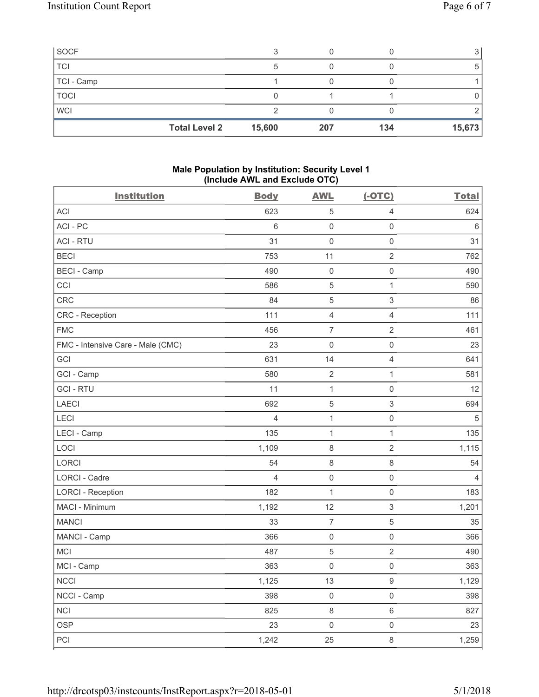| SOCF                 |        |     |     |        |
|----------------------|--------|-----|-----|--------|
| <b>TCI</b>           | 5      |     |     | 5      |
| TCI - Camp           |        |     |     |        |
| <b>TOCI</b>          |        |     |     |        |
| <b>WCI</b>           |        |     |     |        |
| <b>Total Level 2</b> | 15,600 | 207 | 134 | 15,673 |

# **Male Population by Institution: Security Level 1 (Include AWL and Exclude OTC)**

| <b>Institution</b>                | <b>Body</b>    | <b>AWL</b>          | $(-OTC)$                  | <b>Total</b>   |
|-----------------------------------|----------------|---------------------|---------------------------|----------------|
| <b>ACI</b>                        | 623            | 5                   | 4                         | 624            |
| ACI-PC                            | 6              | $\mathsf{O}\xspace$ | $\mathsf 0$               | $\,6\,$        |
| <b>ACI - RTU</b>                  | 31             | $\mathsf{O}\xspace$ | $\mathsf{O}\xspace$       | 31             |
| <b>BECI</b>                       | 753            | 11                  | $\overline{2}$            | 762            |
| <b>BECI</b> - Camp                | 490            | $\mathsf{O}\xspace$ | $\mathsf{O}\xspace$       | 490            |
| CCI                               | 586            | $\,$ 5 $\,$         | $\mathbf{1}$              | 590            |
| CRC                               | 84             | $\mathbf 5$         | $\mathsf 3$               | 86             |
| CRC - Reception                   | 111            | $\overline{4}$      | $\overline{4}$            | 111            |
| <b>FMC</b>                        | 456            | $\overline{7}$      | $\sqrt{2}$                | 461            |
| FMC - Intensive Care - Male (CMC) | 23             | $\mathsf{O}\xspace$ | $\mathsf{O}\xspace$       | 23             |
| <b>GCI</b>                        | 631            | 14                  | $\overline{4}$            | 641            |
| GCI - Camp                        | 580            | $\overline{2}$      | $\mathbf{1}$              | 581            |
| <b>GCI-RTU</b>                    | 11             | $\mathbf{1}$        | $\mathsf{O}\xspace$       | 12             |
| LAECI                             | 692            | $\mathbf 5$         | $\ensuremath{\mathsf{3}}$ | 694            |
| LECI                              | 4              | $\mathbf 1$         | $\mathsf{O}\xspace$       | $\sqrt{5}$     |
| LECI - Camp                       | 135            | $\mathbf{1}$        | $\mathbf{1}$              | 135            |
| LOCI                              | 1,109          | $\,8\,$             | $\mathbf 2$               | 1,115          |
| LORCI                             | 54             | $\,8\,$             | 8                         | 54             |
| LORCI - Cadre                     | $\overline{4}$ | $\mathsf{O}\xspace$ | $\mathsf 0$               | $\overline{4}$ |
| <b>LORCI - Reception</b>          | 182            | $\mathbf{1}$        | $\mathsf{O}\xspace$       | 183            |
| MACI - Minimum                    | 1,192          | 12                  | $\ensuremath{\mathsf{3}}$ | 1,201          |
| <b>MANCI</b>                      | 33             | $\boldsymbol{7}$    | $\,$ 5 $\,$               | 35             |
| MANCI - Camp                      | 366            | $\mathsf{O}\xspace$ | $\mathsf{O}\xspace$       | 366            |
| MCI                               | 487            | $\mathbf 5$         | $\overline{2}$            | 490            |
| MCI - Camp                        | 363            | $\mathsf 0$         | $\mathsf{O}\xspace$       | 363            |
| <b>NCCI</b>                       | 1,125          | 13                  | 9                         | 1,129          |
| NCCI - Camp                       | 398            | $\mathsf 0$         | $\mathsf{O}\xspace$       | 398            |
| <b>NCI</b>                        | 825            | $\,8\,$             | $6\,$                     | 827            |
| <b>OSP</b>                        | 23             | $\mathsf{O}\xspace$ | $\mathsf{O}\xspace$       | 23             |
| PCI                               | 1,242          | 25                  | 8                         | 1,259          |